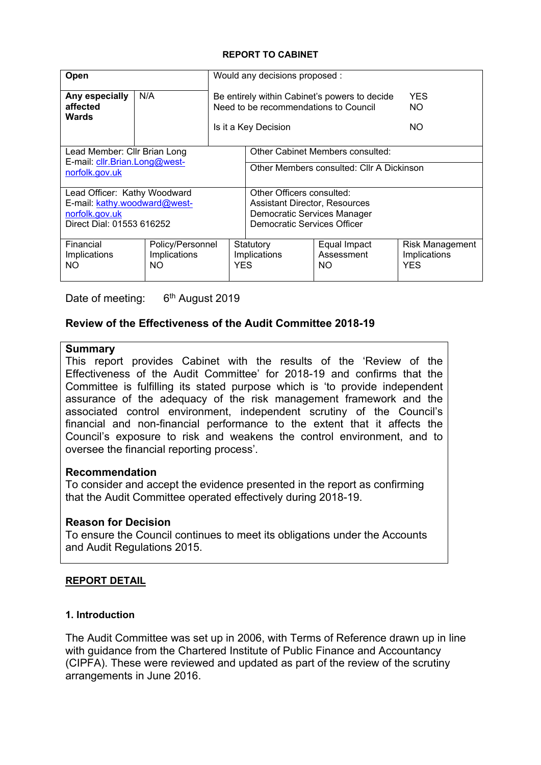### **REPORT TO CABINET**

| Open                                            |                                               |            | Would any decisions proposed :                                                                              |                                   |                                                      |  |  |  |
|-------------------------------------------------|-----------------------------------------------|------------|-------------------------------------------------------------------------------------------------------------|-----------------------------------|------------------------------------------------------|--|--|--|
| Any especially<br>affected<br><b>Wards</b>      | N/A                                           |            | Be entirely within Cabinet's powers to decide<br><b>YES</b><br>Need to be recommendations to Council<br>NO. |                                   |                                                      |  |  |  |
|                                                 |                                               |            | Is it a Key Decision                                                                                        | NO.                               |                                                      |  |  |  |
| Lead Member: Cllr Brian Long                    |                                               |            |                                                                                                             | Other Cabinet Members consulted:  |                                                      |  |  |  |
| E-mail: cllr.Brian.Long@west-<br>norfolk.gov.uk |                                               |            | Other Members consulted: Cllr A Dickinson                                                                   |                                   |                                                      |  |  |  |
| Lead Officer: Kathy Woodward                    |                                               |            | Other Officers consulted:                                                                                   |                                   |                                                      |  |  |  |
| E-mail: kathy.woodward@west-                    |                                               |            | <b>Assistant Director, Resources</b>                                                                        |                                   |                                                      |  |  |  |
| norfolk.gov.uk<br>Direct Dial: 01553 616252     |                                               |            | Democratic Services Manager<br>Democratic Services Officer                                                  |                                   |                                                      |  |  |  |
|                                                 |                                               |            |                                                                                                             |                                   |                                                      |  |  |  |
| Financial<br>Implications<br>ΝO                 | Policy/Personnel<br>Implications<br><b>NO</b> | <b>YES</b> | Statutory<br>Implications                                                                                   | Equal Impact<br>Assessment<br>NO. | <b>Risk Management</b><br>Implications<br><b>YES</b> |  |  |  |

Date of meeting: 6<sup>th</sup> August 2019

## **Review of the Effectiveness of the Audit Committee 2018-19**

### **Summary**

This report provides Cabinet with the results of the 'Review of the Effectiveness of the Audit Committee' for 2018-19 and confirms that the Committee is fulfilling its stated purpose which is 'to provide independent assurance of the adequacy of the risk management framework and the associated control environment, independent scrutiny of the Council's financial and non-financial performance to the extent that it affects the Council's exposure to risk and weakens the control environment, and to oversee the financial reporting process'.

## **Recommendation**

To consider and accept the evidence presented in the report as confirming that the Audit Committee operated effectively during 2018-19.

## **Reason for Decision**

To ensure the Council continues to meet its obligations under the Accounts and Audit Regulations 2015.

## **REPORT DETAIL**

### **1. Introduction**

The Audit Committee was set up in 2006, with Terms of Reference drawn up in line with guidance from the Chartered Institute of Public Finance and Accountancy (CIPFA). These were reviewed and updated as part of the review of the scrutiny arrangements in June 2016.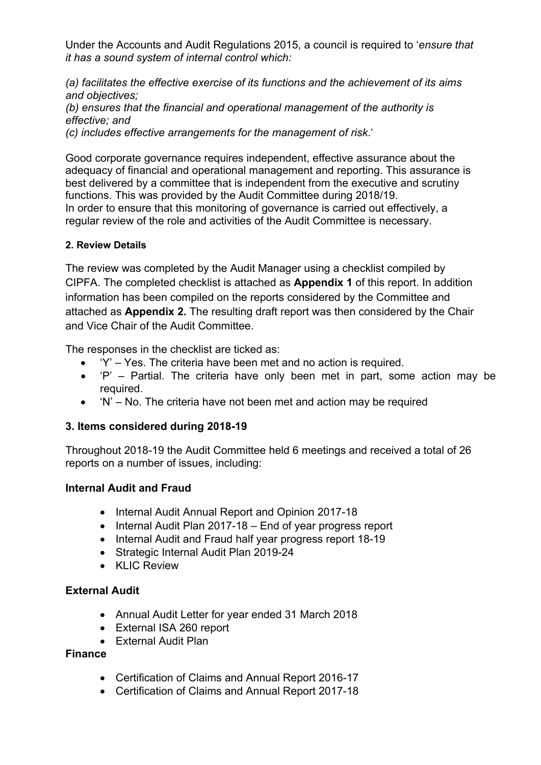Under the Accounts and Audit Regulations 2015, a council is required to '*ensure that it has a sound system of internal control which:*

*(a) facilitates the effective exercise of its functions and the achievement of its aims and objectives;*

*(b) ensures that the financial and operational management of the authority is effective; and*

*(c) includes effective arrangements for the management of risk*.'

Good corporate governance requires independent, effective assurance about the adequacy of financial and operational management and reporting. This assurance is best delivered by a committee that is independent from the executive and scrutiny functions. This was provided by the Audit Committee during 2018/19. In order to ensure that this monitoring of governance is carried out effectively, a regular review of the role and activities of the Audit Committee is necessary.

# **2. Review Details**

The review was completed by the Audit Manager using a checklist compiled by CIPFA. The completed checklist is attached as **Appendix 1** of this report. In addition information has been compiled on the reports considered by the Committee and attached as **Appendix 2.** The resulting draft report was then considered by the Chair and Vice Chair of the Audit Committee.

The responses in the checklist are ticked as:

- 'Y' Yes. The criteria have been met and no action is required.
- $\bullet$  'P' Partial. The criteria have only been met in part, some action may be required.
- 'N' No. The criteria have not been met and action may be required

# **3. Items considered during 2018-19**

Throughout 2018-19 the Audit Committee held 6 meetings and received a total of 26 reports on a number of issues, including:

# **Internal Audit and Fraud**

- Internal Audit Annual Report and Opinion 2017-18
- $\bullet$  Internal Audit Plan 2017-18 End of year progress report
- Internal Audit and Fraud half year progress report 18-19
- Strategic Internal Audit Plan 2019-24
- KLIC Review

# **External Audit**

- Annual Audit Letter for year ended 31 March 2018
- External ISA 260 report
- External Audit Plan

## **Finance**

- Certification of Claims and Annual Report 2016-17
- Certification of Claims and Annual Report 2017-18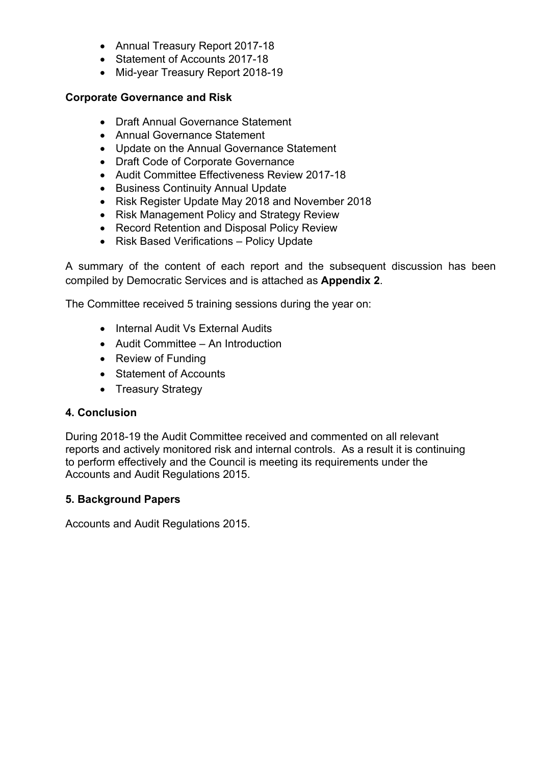- Annual Treasury Report 2017-18
- Statement of Accounts 2017-18
- Mid-year Treasury Report 2018-19

## **Corporate Governance and Risk**

- Draft Annual Governance Statement
- Annual Governance Statement
- Update on the Annual Governance Statement
- Draft Code of Corporate Governance
- Audit Committee Effectiveness Review 2017-18
- Business Continuity Annual Update
- Risk Register Update May 2018 and November 2018
- Risk Management Policy and Strategy Review
- Record Retention and Disposal Policy Review
- Risk Based Verifications Policy Update

A summary of the content of each report and the subsequent discussion has been compiled by Democratic Services and is attached as **Appendix 2**.

The Committee received 5 training sessions during the year on:

- Internal Audit Vs External Audits
- Audit Committee An Introduction
- Review of Funding
- Statement of Accounts
- Treasury Strategy

## **4. Conclusion**

During 2018-19 the Audit Committee received and commented on all relevant reports and actively monitored risk and internal controls. As a result it is continuing to perform effectively and the Council is meeting its requirements under the Accounts and Audit Regulations 2015.

## **5. Background Papers**

Accounts and Audit Regulations 2015.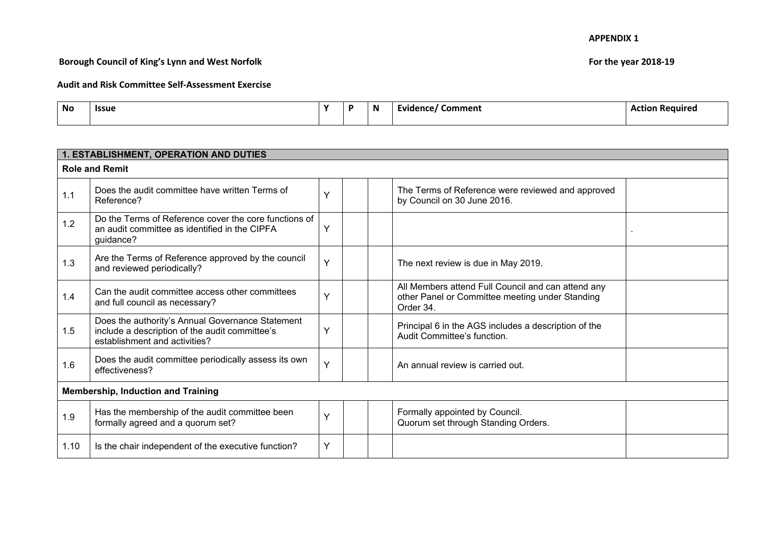## **Borough Council of King's Lynn and West Norfolk For the year 2018-19**

| <b>No</b> | <b>Issue</b> | $\mathbf{v}$ | N | Comment<br>Evidence | ı Reauired<br>Action |
|-----------|--------------|--------------|---|---------------------|----------------------|
|           |              |              |   |                     |                      |

|      | 1. ESTABLISHMENT, OPERATION AND DUTIES                                                                                              |   |                                                                                                                    |  |
|------|-------------------------------------------------------------------------------------------------------------------------------------|---|--------------------------------------------------------------------------------------------------------------------|--|
|      | <b>Role and Remit</b>                                                                                                               |   |                                                                                                                    |  |
| 1.1  | Does the audit committee have written Terms of<br>Reference?                                                                        | Ý | The Terms of Reference were reviewed and approved<br>by Council on 30 June 2016.                                   |  |
| 1.2  | Do the Terms of Reference cover the core functions of<br>an audit committee as identified in the CIPFA<br>guidance?                 | Y |                                                                                                                    |  |
| 1.3  | Are the Terms of Reference approved by the council<br>and reviewed periodically?                                                    | Y | The next review is due in May 2019.                                                                                |  |
| 1.4  | Can the audit committee access other committees<br>and full council as necessary?                                                   | Y | All Members attend Full Council and can attend any<br>other Panel or Committee meeting under Standing<br>Order 34. |  |
| 1.5  | Does the authority's Annual Governance Statement<br>include a description of the audit committee's<br>establishment and activities? | Y | Principal 6 in the AGS includes a description of the<br>Audit Committee's function.                                |  |
| 1.6  | Does the audit committee periodically assess its own<br>effectiveness?                                                              | Ÿ | An annual review is carried out.                                                                                   |  |
|      | <b>Membership, Induction and Training</b>                                                                                           |   |                                                                                                                    |  |
| 1.9  | Has the membership of the audit committee been<br>formally agreed and a quorum set?                                                 | Ý | Formally appointed by Council.<br>Quorum set through Standing Orders.                                              |  |
| 1.10 | Is the chair independent of the executive function?                                                                                 | Y |                                                                                                                    |  |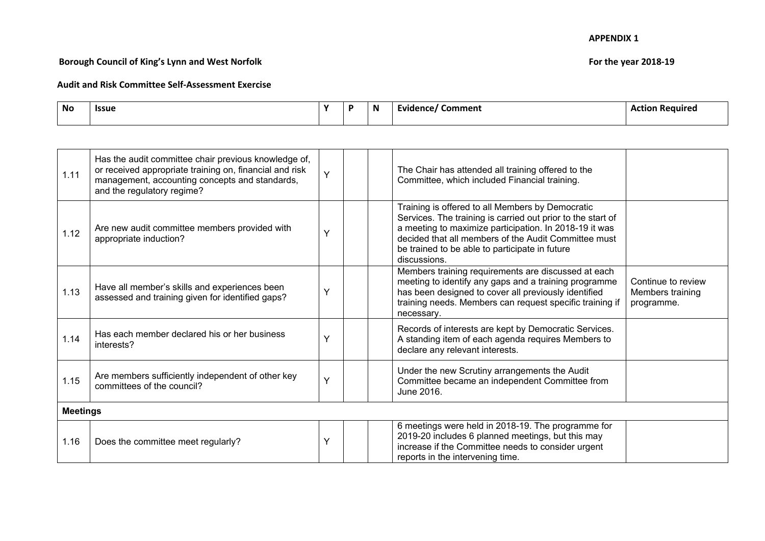## **Borough Council of King's Lynn and West Norfolk For the year 2018-19**

| <b>No</b> | <b>Issue</b><br>- - - | $\mathbf{v}$ | N | Comment<br>e Evidence / 1 | Action Required |
|-----------|-----------------------|--------------|---|---------------------------|-----------------|
|           |                       |              |   |                           |                 |

| 1.11            | Has the audit committee chair previous knowledge of,<br>or received appropriate training on, financial and risk<br>management, accounting concepts and standards,<br>and the regulatory regime? | Y | The Chair has attended all training offered to the<br>Committee, which included Financial training.                                                                                                                                                                                                 |                                                      |
|-----------------|-------------------------------------------------------------------------------------------------------------------------------------------------------------------------------------------------|---|-----------------------------------------------------------------------------------------------------------------------------------------------------------------------------------------------------------------------------------------------------------------------------------------------------|------------------------------------------------------|
| 1.12            | Are new audit committee members provided with<br>appropriate induction?                                                                                                                         | Y | Training is offered to all Members by Democratic<br>Services. The training is carried out prior to the start of<br>a meeting to maximize participation. In 2018-19 it was<br>decided that all members of the Audit Committee must<br>be trained to be able to participate in future<br>discussions. |                                                      |
| 1.13            | Have all member's skills and experiences been<br>assessed and training given for identified gaps?                                                                                               | Y | Members training requirements are discussed at each<br>meeting to identify any gaps and a training programme<br>has been designed to cover all previously identified<br>training needs. Members can request specific training if<br>necessary.                                                      | Continue to review<br>Members training<br>programme. |
| 1.14            | Has each member declared his or her business<br>interests?                                                                                                                                      | Y | Records of interests are kept by Democratic Services.<br>A standing item of each agenda requires Members to<br>declare any relevant interests.                                                                                                                                                      |                                                      |
| 1.15            | Are members sufficiently independent of other key<br>committees of the council?                                                                                                                 | Y | Under the new Scrutiny arrangements the Audit<br>Committee became an independent Committee from<br>June 2016.                                                                                                                                                                                       |                                                      |
| <b>Meetings</b> |                                                                                                                                                                                                 |   |                                                                                                                                                                                                                                                                                                     |                                                      |
| 1.16            | Does the committee meet regularly?                                                                                                                                                              | Υ | 6 meetings were held in 2018-19. The programme for<br>2019-20 includes 6 planned meetings, but this may<br>increase if the Committee needs to consider urgent<br>reports in the intervening time.                                                                                                   |                                                      |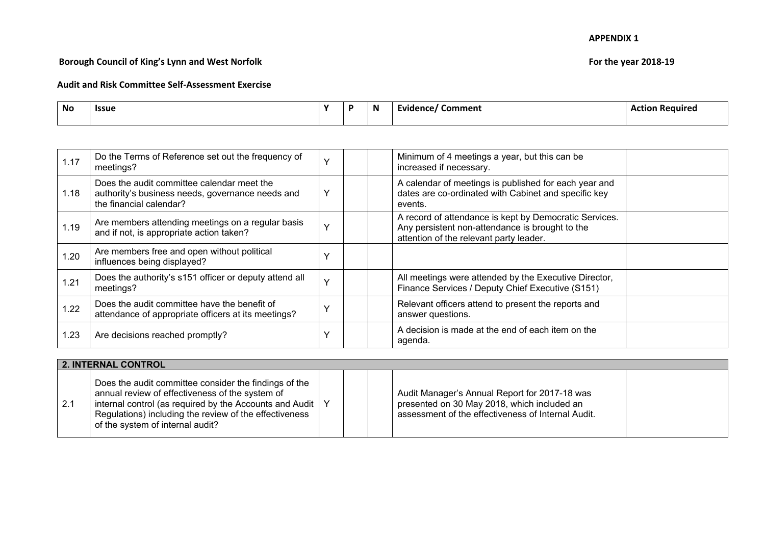## **Borough Council of King's Lynn and West Norfolk For the year 2018-19**

| <b>No</b> | <b>Issue</b> | $\mathbf{v}$ | $\mathbf N$ | .omment<br>Evidence | n c<br>Required<br>. |
|-----------|--------------|--------------|-------------|---------------------|----------------------|
|           |              |              |             |                     |                      |

| 1.17 | Do the Terms of Reference set out the frequency of<br>meetings?                                                           | $\checkmark$ | Minimum of 4 meetings a year, but this can be<br>increased if necessary.                                                                             |  |
|------|---------------------------------------------------------------------------------------------------------------------------|--------------|------------------------------------------------------------------------------------------------------------------------------------------------------|--|
| 1.18 | Does the audit committee calendar meet the<br>authority's business needs, governance needs and<br>the financial calendar? | ν            | A calendar of meetings is published for each year and<br>dates are co-ordinated with Cabinet and specific key<br>events.                             |  |
| 1.19 | Are members attending meetings on a regular basis<br>and if not, is appropriate action taken?                             | $\checkmark$ | A record of attendance is kept by Democratic Services.<br>Any persistent non-attendance is brought to the<br>attention of the relevant party leader. |  |
| 1.20 | Are members free and open without political<br>influences being displayed?                                                | $\checkmark$ |                                                                                                                                                      |  |
| 1.21 | Does the authority's s151 officer or deputy attend all<br>meetings?                                                       | $\checkmark$ | All meetings were attended by the Executive Director,<br>Finance Services / Deputy Chief Executive (S151)                                            |  |
| 1.22 | Does the audit committee have the benefit of<br>attendance of appropriate officers at its meetings?                       | $\checkmark$ | Relevant officers attend to present the reports and<br>answer questions.                                                                             |  |
| 1.23 | Are decisions reached promptly?                                                                                           | $\checkmark$ | A decision is made at the end of each item on the<br>agenda.                                                                                         |  |

| 2. INTERNAL CONTROL |                                                                                                                                                                                                                                                                           |  |  |  |                                                                                                                                                    |  |  |  |
|---------------------|---------------------------------------------------------------------------------------------------------------------------------------------------------------------------------------------------------------------------------------------------------------------------|--|--|--|----------------------------------------------------------------------------------------------------------------------------------------------------|--|--|--|
| $\vert 2.1$         | Does the audit committee consider the findings of the<br>annual review of effectiveness of the system of<br>internal control (as required by the Accounts and Audit $\vert$<br>Regulations) including the review of the effectiveness<br>of the system of internal audit? |  |  |  | Audit Manager's Annual Report for 2017-18 was<br>presented on 30 May 2018, which included an<br>assessment of the effectiveness of Internal Audit. |  |  |  |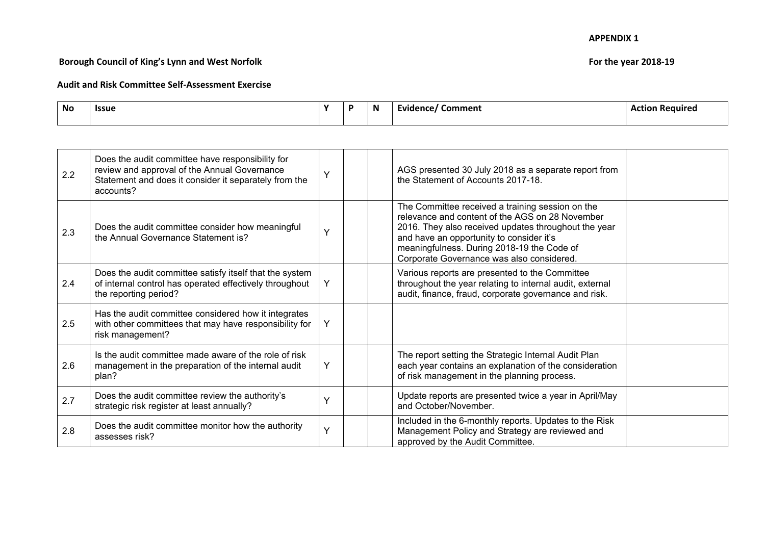## **Borough Council of King's Lynn and West Norfolk For the year 2018-19**

| <b>No</b> | <b>Issue</b> | $\mathbf{v}$ | $\mathbf N$ | Comment<br>Evidence | Act.<br><b>Required</b><br>---- |
|-----------|--------------|--------------|-------------|---------------------|---------------------------------|
|           |              |              |             |                     |                                 |

| 2.2 | Does the audit committee have responsibility for<br>review and approval of the Annual Governance<br>Statement and does it consider it separately from the<br>accounts? | Y | AGS presented 30 July 2018 as a separate report from<br>the Statement of Accounts 2017-18.                                                                                                                                                                                                         |  |
|-----|------------------------------------------------------------------------------------------------------------------------------------------------------------------------|---|----------------------------------------------------------------------------------------------------------------------------------------------------------------------------------------------------------------------------------------------------------------------------------------------------|--|
| 2.3 | Does the audit committee consider how meaningful<br>the Annual Governance Statement is?                                                                                | Y | The Committee received a training session on the<br>relevance and content of the AGS on 28 November<br>2016. They also received updates throughout the year<br>and have an opportunity to consider it's<br>meaningfulness. During 2018-19 the Code of<br>Corporate Governance was also considered. |  |
| 2.4 | Does the audit committee satisfy itself that the system<br>of internal control has operated effectively throughout<br>the reporting period?                            | Y | Various reports are presented to the Committee<br>throughout the year relating to internal audit, external<br>audit, finance, fraud, corporate governance and risk.                                                                                                                                |  |
| 2.5 | Has the audit committee considered how it integrates<br>with other committees that may have responsibility for<br>risk management?                                     | Y |                                                                                                                                                                                                                                                                                                    |  |
| 2.6 | Is the audit committee made aware of the role of risk<br>management in the preparation of the internal audit<br>plan?                                                  | Y | The report setting the Strategic Internal Audit Plan<br>each year contains an explanation of the consideration<br>of risk management in the planning process.                                                                                                                                      |  |
| 2.7 | Does the audit committee review the authority's<br>strategic risk register at least annually?                                                                          | Ý | Update reports are presented twice a year in April/May<br>and October/November.                                                                                                                                                                                                                    |  |
| 2.8 | Does the audit committee monitor how the authority<br>assesses risk?                                                                                                   | Y | Included in the 6-monthly reports. Updates to the Risk<br>Management Policy and Strategy are reviewed and<br>approved by the Audit Committee.                                                                                                                                                      |  |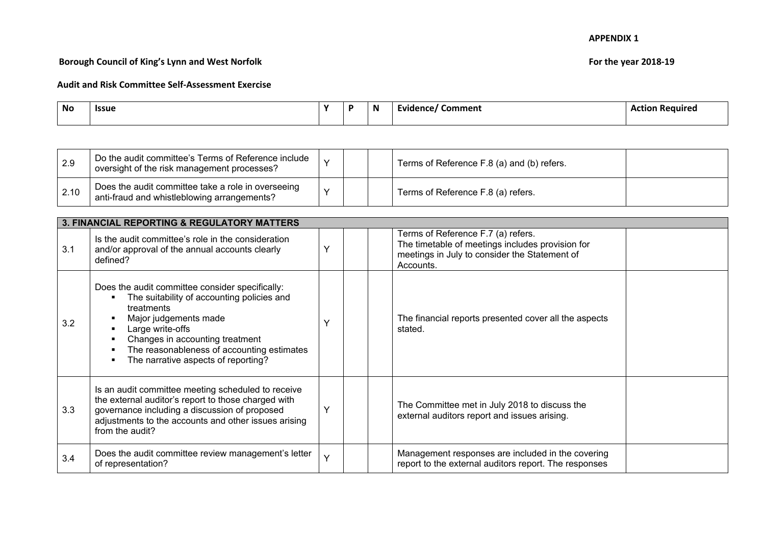## **Borough Council of King's Lynn and West Norfolk For the year 2018-19**

| <b>No</b> | <b>Issue</b> | $\mathbf{v}$ | Ð | N | Comment<br>ence. | .<br>n c |
|-----------|--------------|--------------|---|---|------------------|----------|
|           |              |              |   |   |                  |          |

| 2.9  | Do the audit committee's Terms of Reference include<br>oversight of the risk management processes? |  | Terms of Reference F.8 (a) and (b) refers. |  |
|------|----------------------------------------------------------------------------------------------------|--|--------------------------------------------|--|
| 2.10 | Does the audit committee take a role in overseeing<br>anti-fraud and whistleblowing arrangements?  |  | Terms of Reference F.8 (a) refers.         |  |

|     | 3. FINANCIAL REPORTING & REGULATORY MATTERS                                                                                                                                                                                                                                                |        |  |  |                                                                                                                                                      |  |  |  |  |  |  |
|-----|--------------------------------------------------------------------------------------------------------------------------------------------------------------------------------------------------------------------------------------------------------------------------------------------|--------|--|--|------------------------------------------------------------------------------------------------------------------------------------------------------|--|--|--|--|--|--|
| 3.1 | Is the audit committee's role in the consideration<br>and/or approval of the annual accounts clearly<br>defined?                                                                                                                                                                           |        |  |  | Terms of Reference F.7 (a) refers.<br>The timetable of meetings includes provision for<br>meetings in July to consider the Statement of<br>Accounts. |  |  |  |  |  |  |
| 3.2 | Does the audit committee consider specifically:<br>The suitability of accounting policies and<br>٠<br>treatments<br>Major judgements made<br>Large write-offs<br>٠<br>Changes in accounting treatment<br>The reasonableness of accounting estimates<br>The narrative aspects of reporting? |        |  |  | The financial reports presented cover all the aspects<br>stated.                                                                                     |  |  |  |  |  |  |
| 3.3 | Is an audit committee meeting scheduled to receive<br>the external auditor's report to those charged with<br>governance including a discussion of proposed<br>adjustments to the accounts and other issues arising<br>from the audit?                                                      |        |  |  | The Committee met in July 2018 to discuss the<br>external auditors report and issues arising.                                                        |  |  |  |  |  |  |
| 3.4 | Does the audit committee review management's letter<br>of representation?                                                                                                                                                                                                                  | $\vee$ |  |  | Management responses are included in the covering<br>report to the external auditors report. The responses                                           |  |  |  |  |  |  |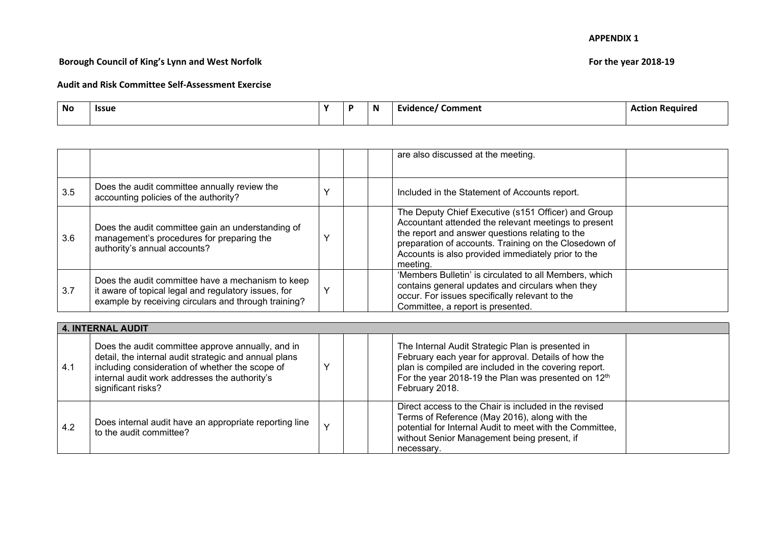## **Borough Council of King's Lynn and West Norfolk For the year 2018-19**

| <b>No</b> | <b>Issue</b> |  | N | Comment<br>Evidence | . Reauire |
|-----------|--------------|--|---|---------------------|-----------|
|           |              |  |   |                     |           |

|                          |                                                                                                                                                                   |  |  | are also discussed at the meeting.                                                                                                                                                                                                                                                        |  |  |
|--------------------------|-------------------------------------------------------------------------------------------------------------------------------------------------------------------|--|--|-------------------------------------------------------------------------------------------------------------------------------------------------------------------------------------------------------------------------------------------------------------------------------------------|--|--|
| 3.5                      | Does the audit committee annually review the<br>accounting policies of the authority?                                                                             |  |  | Included in the Statement of Accounts report.                                                                                                                                                                                                                                             |  |  |
| 3.6                      | Does the audit committee gain an understanding of<br>management's procedures for preparing the<br>authority's annual accounts?                                    |  |  | The Deputy Chief Executive (s151 Officer) and Group<br>Accountant attended the relevant meetings to present<br>the report and answer questions relating to the<br>preparation of accounts. Training on the Closedown of<br>Accounts is also provided immediately prior to the<br>meeting. |  |  |
| 3.7                      | Does the audit committee have a mechanism to keep<br>it aware of topical legal and regulatory issues, for<br>example by receiving circulars and through training? |  |  | 'Members Bulletin' is circulated to all Members, which<br>contains general updates and circulars when they<br>occur. For issues specifically relevant to the<br>Committee, a report is presented.                                                                                         |  |  |
| <b>4. INTERNAL AUDIT</b> |                                                                                                                                                                   |  |  |                                                                                                                                                                                                                                                                                           |  |  |

|     | 4. IN IERNAL AUDIT                                                                                                                                                                                                                   |              |  |                                                                                                                                                                                                                                                        |  |  |  |  |  |  |
|-----|--------------------------------------------------------------------------------------------------------------------------------------------------------------------------------------------------------------------------------------|--------------|--|--------------------------------------------------------------------------------------------------------------------------------------------------------------------------------------------------------------------------------------------------------|--|--|--|--|--|--|
| 4.1 | Does the audit committee approve annually, and in<br>detail, the internal audit strategic and annual plans<br>including consideration of whether the scope of<br>internal audit work addresses the authority's<br>significant risks? |              |  | The Internal Audit Strategic Plan is presented in<br>February each year for approval. Details of how the<br>plan is compiled are included in the covering report.<br>For the year 2018-19 the Plan was presented on 12 <sup>th</sup><br>February 2018. |  |  |  |  |  |  |
| 4.2 | Does internal audit have an appropriate reporting line<br>to the audit committee?                                                                                                                                                    | $\checkmark$ |  | Direct access to the Chair is included in the revised<br>Terms of Reference (May 2016), along with the<br>potential for Internal Audit to meet with the Committee,<br>without Senior Management being present, if<br>necessary.                        |  |  |  |  |  |  |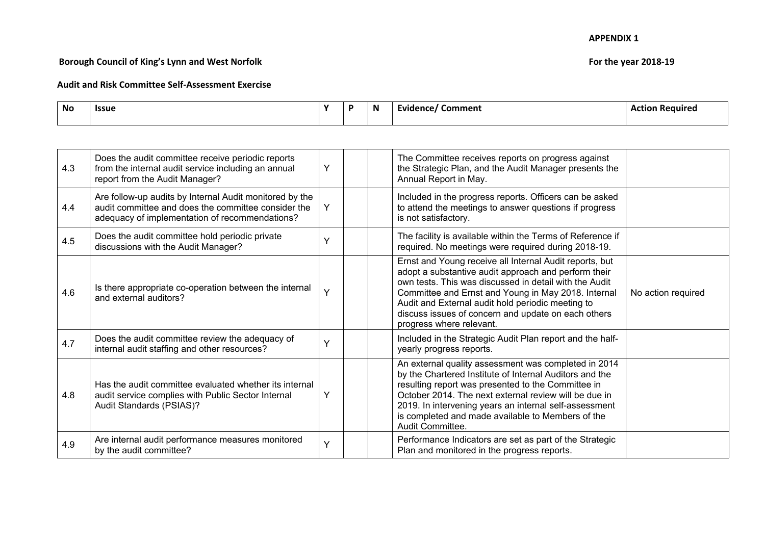## **Borough Council of King's Lynn and West Norfolk For the year 2018-19**

| <b>No</b> | <b>Issue</b><br>- - - | $\mathbf{v}$ | N | Comment<br>----<br>.<br>naence | - Require <sub>u</sub> |
|-----------|-----------------------|--------------|---|--------------------------------|------------------------|
|           |                       |              |   |                                |                        |

| 4.3 | Does the audit committee receive periodic reports<br>from the internal audit service including an annual<br>report from the Audit Manager?                       | Y | The Committee receives reports on progress against<br>the Strategic Plan, and the Audit Manager presents the<br>Annual Report in May.                                                                                                                                                                                                                                    |                    |
|-----|------------------------------------------------------------------------------------------------------------------------------------------------------------------|---|--------------------------------------------------------------------------------------------------------------------------------------------------------------------------------------------------------------------------------------------------------------------------------------------------------------------------------------------------------------------------|--------------------|
| 4.4 | Are follow-up audits by Internal Audit monitored by the<br>audit committee and does the committee consider the<br>adequacy of implementation of recommendations? | Y | Included in the progress reports. Officers can be asked<br>to attend the meetings to answer questions if progress<br>is not satisfactory.                                                                                                                                                                                                                                |                    |
| 4.5 | Does the audit committee hold periodic private<br>discussions with the Audit Manager?                                                                            | Y | The facility is available within the Terms of Reference if<br>required. No meetings were required during 2018-19.                                                                                                                                                                                                                                                        |                    |
| 4.6 | Is there appropriate co-operation between the internal<br>and external auditors?                                                                                 | Y | Ernst and Young receive all Internal Audit reports, but<br>adopt a substantive audit approach and perform their<br>own tests. This was discussed in detail with the Audit<br>Committee and Ernst and Young in May 2018. Internal<br>Audit and External audit hold periodic meeting to<br>discuss issues of concern and update on each others<br>progress where relevant. | No action required |
| 4.7 | Does the audit committee review the adequacy of<br>internal audit staffing and other resources?                                                                  | Y | Included in the Strategic Audit Plan report and the half-<br>yearly progress reports.                                                                                                                                                                                                                                                                                    |                    |
| 4.8 | Has the audit committee evaluated whether its internal<br>audit service complies with Public Sector Internal<br>Audit Standards (PSIAS)?                         | Y | An external quality assessment was completed in 2014<br>by the Chartered Institute of Internal Auditors and the<br>resulting report was presented to the Committee in<br>October 2014. The next external review will be due in<br>2019. In intervening years an internal self-assessment<br>is completed and made available to Members of the<br>Audit Committee.        |                    |
| 4.9 | Are internal audit performance measures monitored<br>by the audit committee?                                                                                     | Y | Performance Indicators are set as part of the Strategic<br>Plan and monitored in the progress reports.                                                                                                                                                                                                                                                                   |                    |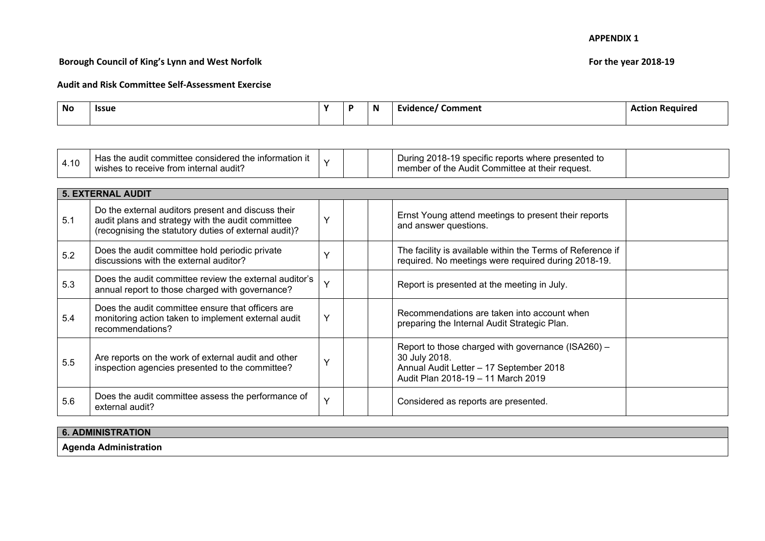## **Borough Council of King's Lynn and West Norfolk For the year 2018-19**

| <b>No</b> | <b>Issue</b> | $\cdot$ | <b>N</b> | Comment<br>Evidence | Actior<br>. Reauire |
|-----------|--------------|---------|----------|---------------------|---------------------|
|           |              |         |          |                     |                     |

|     | <b>5. EXTERNAL AUDIT</b>                                                                                                                                         |              |  |                                                                                                                                                      |  |  |  |  |  |  |
|-----|------------------------------------------------------------------------------------------------------------------------------------------------------------------|--------------|--|------------------------------------------------------------------------------------------------------------------------------------------------------|--|--|--|--|--|--|
| 5.1 | Do the external auditors present and discuss their<br>audit plans and strategy with the audit committee<br>(recognising the statutory duties of external audit)? | $\checkmark$ |  | Ernst Young attend meetings to present their reports<br>and answer questions.                                                                        |  |  |  |  |  |  |
| 5.2 | Does the audit committee hold periodic private<br>discussions with the external auditor?                                                                         | $\mathbf{v}$ |  | The facility is available within the Terms of Reference if<br>required. No meetings were required during 2018-19.                                    |  |  |  |  |  |  |
| 5.3 | Does the audit committee review the external auditor's<br>annual report to those charged with governance?                                                        | $\vee$       |  | Report is presented at the meeting in July.                                                                                                          |  |  |  |  |  |  |
| 5.4 | Does the audit committee ensure that officers are<br>monitoring action taken to implement external audit<br>recommendations?                                     | $\checkmark$ |  | Recommendations are taken into account when<br>preparing the Internal Audit Strategic Plan.                                                          |  |  |  |  |  |  |
| 5.5 | Are reports on the work of external audit and other<br>inspection agencies presented to the committee?                                                           | v            |  | Report to those charged with governance (ISA260) -<br>30 July 2018.<br>Annual Audit Letter - 17 September 2018<br>Audit Plan 2018-19 - 11 March 2019 |  |  |  |  |  |  |
| 5.6 | Does the audit committee assess the performance of<br>external audit?                                                                                            | $\checkmark$ |  | Considered as reports are presented.                                                                                                                 |  |  |  |  |  |  |

| 6. ADMINISTRATION                              |  |
|------------------------------------------------|--|
| <b>Anonde</b><br>ا Administration<br><u>ry</u> |  |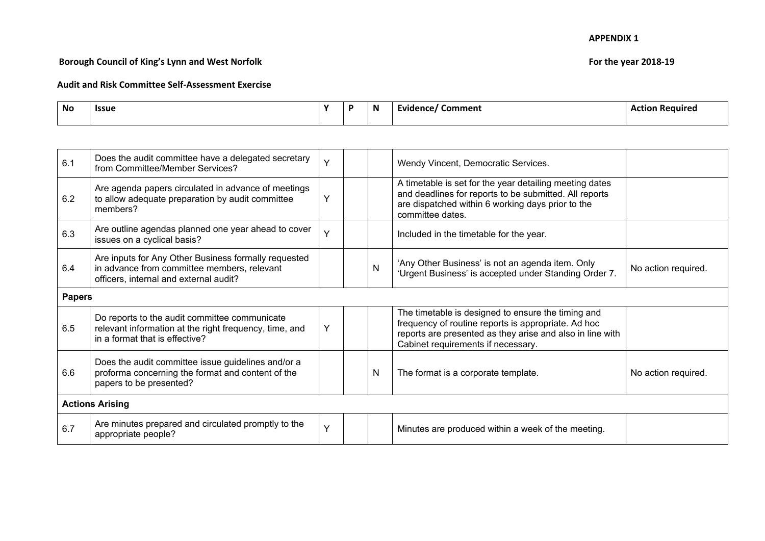## **Borough Council of King's Lynn and West Norfolk For the year 2018-19**

| <b>No</b> | <b>Issue</b> | $\mathbf{v}$ | $\mathbf N$ | Comment<br>Evidence | Act.<br><b>Required</b><br>---- |
|-----------|--------------|--------------|-------------|---------------------|---------------------------------|
|           |              |              |             |                     |                                 |

| 6.1           | Does the audit committee have a delegated secretary<br>from Committee/Member Services?                                                        | Y |  |   | Wendy Vincent, Democratic Services.                                                                                                                                                                          |                     |  |  |
|---------------|-----------------------------------------------------------------------------------------------------------------------------------------------|---|--|---|--------------------------------------------------------------------------------------------------------------------------------------------------------------------------------------------------------------|---------------------|--|--|
| 6.2           | Are agenda papers circulated in advance of meetings<br>to allow adequate preparation by audit committee<br>members?                           | Υ |  |   | A timetable is set for the year detailing meeting dates<br>and deadlines for reports to be submitted. All reports<br>are dispatched within 6 working days prior to the<br>committee dates.                   |                     |  |  |
| 6.3           | Are outline agendas planned one year ahead to cover<br>issues on a cyclical basis?                                                            | Y |  |   | Included in the timetable for the year.                                                                                                                                                                      |                     |  |  |
| 6.4           | Are inputs for Any Other Business formally requested<br>in advance from committee members, relevant<br>officers, internal and external audit? |   |  | N | 'Any Other Business' is not an agenda item. Only<br>'Urgent Business' is accepted under Standing Order 7.                                                                                                    | No action required. |  |  |
| <b>Papers</b> |                                                                                                                                               |   |  |   |                                                                                                                                                                                                              |                     |  |  |
| 6.5           | Do reports to the audit committee communicate<br>relevant information at the right frequency, time, and<br>in a format that is effective?     | Y |  |   | The timetable is designed to ensure the timing and<br>frequency of routine reports is appropriate. Ad hoc<br>reports are presented as they arise and also in line with<br>Cabinet requirements if necessary. |                     |  |  |
| 6.6           | Does the audit committee issue guidelines and/or a<br>proforma concerning the format and content of the<br>papers to be presented?            |   |  | N | The format is a corporate template.                                                                                                                                                                          | No action required. |  |  |
|               | <b>Actions Arising</b>                                                                                                                        |   |  |   |                                                                                                                                                                                                              |                     |  |  |
| 6.7           | Are minutes prepared and circulated promptly to the<br>appropriate people?                                                                    | Y |  |   | Minutes are produced within a week of the meeting.                                                                                                                                                           |                     |  |  |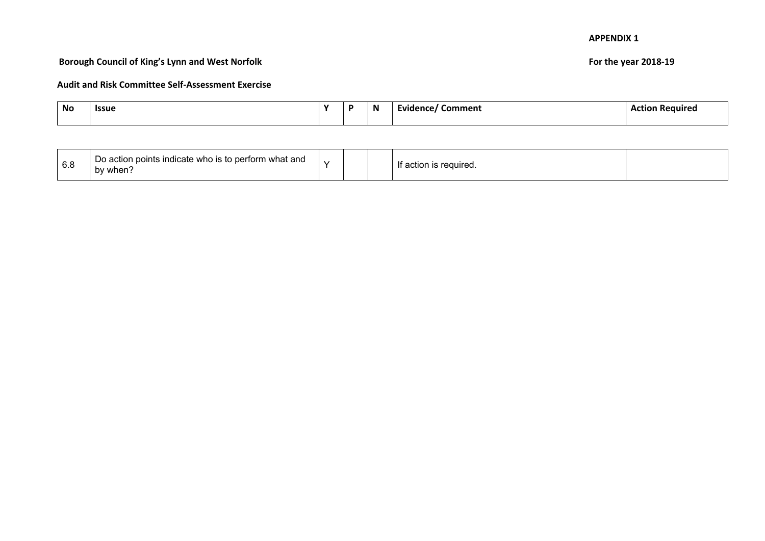## **Borough Council of King's Lynn and West Norfolk For the year 2018-19**

| No | <b>ISSU</b> | $\cdot$ | N | ---<br>.omment | . '°αшіт |
|----|-------------|---------|---|----------------|----------|
|    |             |         |   |                |          |

| 6.8 | p perform what and<br>Dο<br>ו points indicate who is to<br>, action<br>by when. | $\sim$ |  |  | If action<br>reguired. |  |
|-----|---------------------------------------------------------------------------------|--------|--|--|------------------------|--|
|-----|---------------------------------------------------------------------------------|--------|--|--|------------------------|--|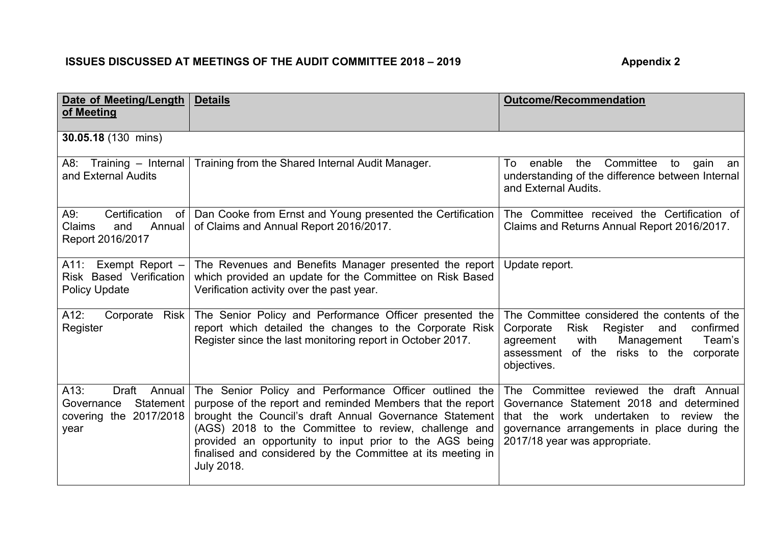# **ISSUES DISCUSSED AT MEETINGS OF THE AUDIT COMMITTEE 2018 – 2019 Appendix 2**

| Date of Meeting/Length                                                               | <b>Details</b>                                                                                                                                                                                                                                                                                                                                                                         | <b>Outcome/Recommendation</b>                                                                                                                                                                                          |
|--------------------------------------------------------------------------------------|----------------------------------------------------------------------------------------------------------------------------------------------------------------------------------------------------------------------------------------------------------------------------------------------------------------------------------------------------------------------------------------|------------------------------------------------------------------------------------------------------------------------------------------------------------------------------------------------------------------------|
| of Meeting                                                                           |                                                                                                                                                                                                                                                                                                                                                                                        |                                                                                                                                                                                                                        |
| 30.05.18 (130 mins)                                                                  |                                                                                                                                                                                                                                                                                                                                                                                        |                                                                                                                                                                                                                        |
| A8: Training - Internal<br>and External Audits                                       | Training from the Shared Internal Audit Manager.                                                                                                                                                                                                                                                                                                                                       | Committee<br>the<br>enable<br>To<br>to<br>gain<br>an<br>understanding of the difference between Internal<br>and External Audits.                                                                                       |
| Certification<br>A9:<br>of<br>Claims<br>Annual<br>and<br>Report 2016/2017            | Dan Cooke from Ernst and Young presented the Certification<br>of Claims and Annual Report 2016/2017.                                                                                                                                                                                                                                                                                   | The Committee received the Certification of<br>Claims and Returns Annual Report 2016/2017.                                                                                                                             |
| Exempt Report $-$<br>A11:<br>Risk Based Verification<br><b>Policy Update</b>         | The Revenues and Benefits Manager presented the report<br>which provided an update for the Committee on Risk Based<br>Verification activity over the past year.                                                                                                                                                                                                                        | Update report.                                                                                                                                                                                                         |
| $A12$ :<br>Corporate Risk<br>Register                                                | The Senior Policy and Performance Officer presented the<br>report which detailed the changes to the Corporate Risk<br>Register since the last monitoring report in October 2017.                                                                                                                                                                                                       | The Committee considered the contents of the<br>confirmed<br><b>Risk</b><br>Register<br>Corporate<br>and<br>Management<br>Team's<br>agreement<br>with<br>of the risks to the<br>assessment<br>corporate<br>objectives. |
| A13:<br>Draft<br>Annual<br>Governance<br>Statement<br>covering the 2017/2018<br>year | The Senior Policy and Performance Officer outlined the<br>purpose of the report and reminded Members that the report<br>brought the Council's draft Annual Governance Statement<br>(AGS) 2018 to the Committee to review, challenge and<br>provided an opportunity to input prior to the AGS being<br>finalised and considered by the Committee at its meeting in<br><b>July 2018.</b> | The Committee reviewed the draft Annual<br>Governance Statement 2018 and determined<br>that the work undertaken to review the<br>governance arrangements in place during the<br>2017/18 year was appropriate.          |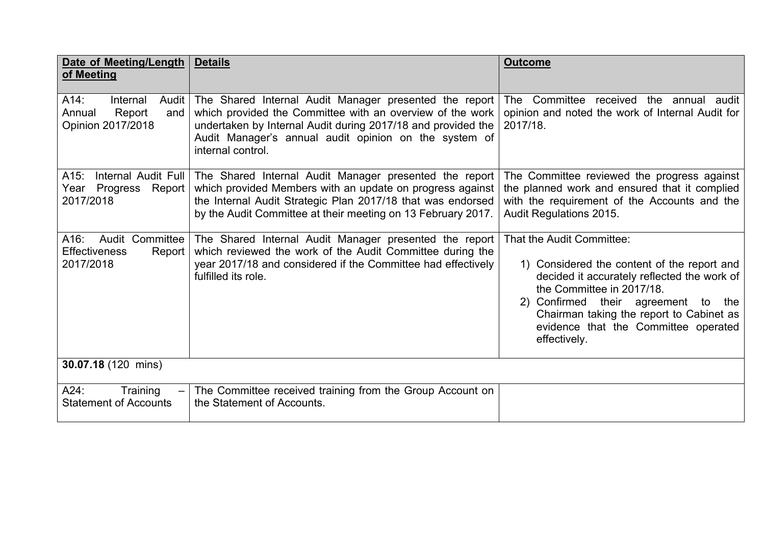| Date of Meeting/Length<br>of Meeting                                      | <b>Details</b>                                                                                                                                                                                                                                                           | <b>Outcome</b>                                                                                                                                                                                                                                                                                     |
|---------------------------------------------------------------------------|--------------------------------------------------------------------------------------------------------------------------------------------------------------------------------------------------------------------------------------------------------------------------|----------------------------------------------------------------------------------------------------------------------------------------------------------------------------------------------------------------------------------------------------------------------------------------------------|
| A14:<br>Internal<br>Audit<br>Report<br>Annual<br>and<br>Opinion 2017/2018 | The Shared Internal Audit Manager presented the report<br>which provided the Committee with an overview of the work<br>undertaken by Internal Audit during 2017/18 and provided the<br>Audit Manager's annual audit opinion on the system of<br>internal control.        | The Committee received the annual audit<br>opinion and noted the work of Internal Audit for<br>2017/18.                                                                                                                                                                                            |
| A15:<br>Year Progress Report<br>2017/2018                                 | Internal Audit Full   The Shared Internal Audit Manager presented the report<br>which provided Members with an update on progress against<br>the Internal Audit Strategic Plan 2017/18 that was endorsed<br>by the Audit Committee at their meeting on 13 February 2017. | The Committee reviewed the progress against<br>the planned work and ensured that it complied<br>with the requirement of the Accounts and the<br><b>Audit Regulations 2015.</b>                                                                                                                     |
| $A16$ :<br>Audit Committee<br><b>Effectiveness</b><br>Report<br>2017/2018 | The Shared Internal Audit Manager presented the report<br>which reviewed the work of the Audit Committee during the<br>year 2017/18 and considered if the Committee had effectively<br>fulfilled its role.                                                               | That the Audit Committee:<br>1) Considered the content of the report and<br>decided it accurately reflected the work of<br>the Committee in 2017/18.<br>2) Confirmed their agreement to<br>the<br>Chairman taking the report to Cabinet as<br>evidence that the Committee operated<br>effectively. |
| 30.07.18 (120 mins)                                                       |                                                                                                                                                                                                                                                                          |                                                                                                                                                                                                                                                                                                    |
| Training<br>$A24$ :<br><b>Statement of Accounts</b>                       | The Committee received training from the Group Account on<br>the Statement of Accounts.                                                                                                                                                                                  |                                                                                                                                                                                                                                                                                                    |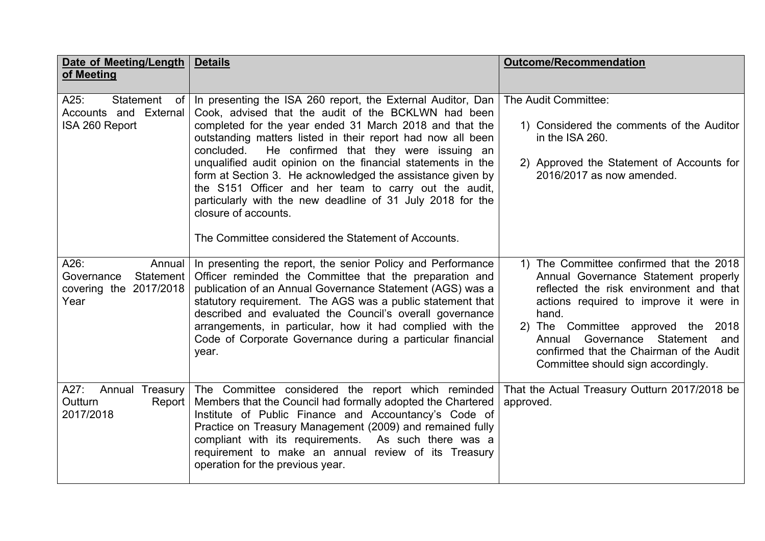| <b>Date of Meeting/Length</b><br>of Meeting                                 | <b>Details</b>                                                                                                                                                                                                                                                                                                                                                                                                                                                                                                                                                                                                                           | <b>Outcome/Recommendation</b>                                                                                                                                                                                                                                                                                                                      |
|-----------------------------------------------------------------------------|------------------------------------------------------------------------------------------------------------------------------------------------------------------------------------------------------------------------------------------------------------------------------------------------------------------------------------------------------------------------------------------------------------------------------------------------------------------------------------------------------------------------------------------------------------------------------------------------------------------------------------------|----------------------------------------------------------------------------------------------------------------------------------------------------------------------------------------------------------------------------------------------------------------------------------------------------------------------------------------------------|
| Statement<br>$A25$ :<br>0f<br>Accounts and External<br>ISA 260 Report       | In presenting the ISA 260 report, the External Auditor, Dan<br>Cook, advised that the audit of the BCKLWN had been<br>completed for the year ended 31 March 2018 and that the<br>outstanding matters listed in their report had now all been<br>concluded.<br>He confirmed that they were issuing an<br>unqualified audit opinion on the financial statements in the<br>form at Section 3. He acknowledged the assistance given by<br>the S151 Officer and her team to carry out the audit,<br>particularly with the new deadline of 31 July 2018 for the<br>closure of accounts.<br>The Committee considered the Statement of Accounts. | The Audit Committee:<br>1) Considered the comments of the Auditor<br>in the ISA 260.<br>2) Approved the Statement of Accounts for<br>2016/2017 as now amended.                                                                                                                                                                                     |
| A26:<br>Annual<br>Governance<br>Statement<br>covering the 2017/2018<br>Year | In presenting the report, the senior Policy and Performance<br>Officer reminded the Committee that the preparation and<br>publication of an Annual Governance Statement (AGS) was a<br>statutory requirement. The AGS was a public statement that<br>described and evaluated the Council's overall governance<br>arrangements, in particular, how it had complied with the<br>Code of Corporate Governance during a particular financial<br>year.                                                                                                                                                                                        | 1) The Committee confirmed that the 2018<br>Annual Governance Statement properly<br>reflected the risk environment and that<br>actions required to improve it were in<br>hand.<br>2) The Committee approved the 2018<br>Statement<br>Governance<br>Annual<br>and<br>confirmed that the Chairman of the Audit<br>Committee should sign accordingly. |
| $A27$ :<br>Annual Treasury<br>Outturn<br>Report<br>2017/2018                | The Committee considered the report which reminded<br>Members that the Council had formally adopted the Chartered<br>Institute of Public Finance and Accountancy's Code of<br>Practice on Treasury Management (2009) and remained fully<br>compliant with its requirements. As such there was a<br>requirement to make an annual review of its Treasury<br>operation for the previous year.                                                                                                                                                                                                                                              | That the Actual Treasury Outturn 2017/2018 be<br>approved.                                                                                                                                                                                                                                                                                         |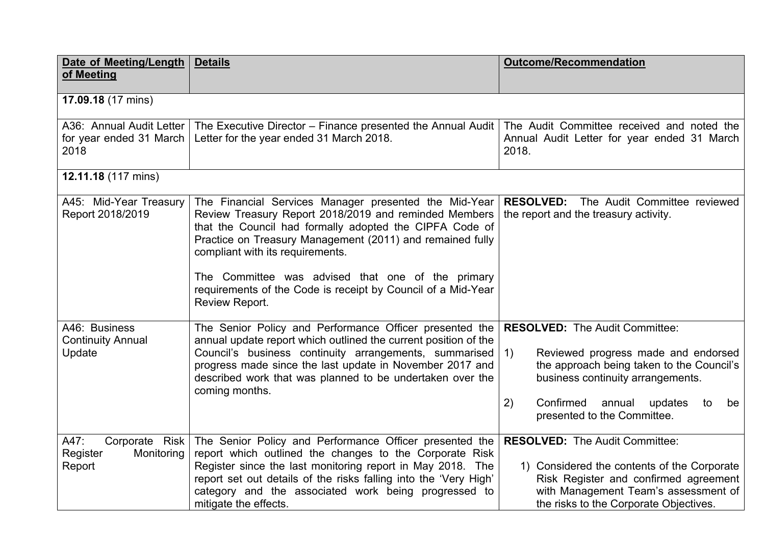| <b>Date of Meeting/Length</b><br>of Meeting                 | <b>Details</b>                                                                                                                                                                                                                                                                                                                                                                                                    | <b>Outcome/Recommendation</b>                                                                                                                                                                                                                                                                       |
|-------------------------------------------------------------|-------------------------------------------------------------------------------------------------------------------------------------------------------------------------------------------------------------------------------------------------------------------------------------------------------------------------------------------------------------------------------------------------------------------|-----------------------------------------------------------------------------------------------------------------------------------------------------------------------------------------------------------------------------------------------------------------------------------------------------|
| 17.09.18 (17 mins)                                          |                                                                                                                                                                                                                                                                                                                                                                                                                   |                                                                                                                                                                                                                                                                                                     |
| A36: Annual Audit Letter<br>for year ended 31 March<br>2018 | The Executive Director - Finance presented the Annual Audit<br>Letter for the year ended 31 March 2018.                                                                                                                                                                                                                                                                                                           | The Audit Committee received and noted the<br>Annual Audit Letter for year ended 31 March<br>2018.                                                                                                                                                                                                  |
| 12.11.18 (117 mins)                                         |                                                                                                                                                                                                                                                                                                                                                                                                                   |                                                                                                                                                                                                                                                                                                     |
| A45: Mid-Year Treasury<br>Report 2018/2019                  | The Financial Services Manager presented the Mid-Year<br>Review Treasury Report 2018/2019 and reminded Members<br>that the Council had formally adopted the CIPFA Code of<br>Practice on Treasury Management (2011) and remained fully<br>compliant with its requirements.<br>The Committee was advised that one of the primary<br>requirements of the Code is receipt by Council of a Mid-Year<br>Review Report. | The Audit Committee reviewed<br><b>RESOLVED:</b><br>the report and the treasury activity.                                                                                                                                                                                                           |
| A46: Business<br><b>Continuity Annual</b><br>Update         | The Senior Policy and Performance Officer presented the<br>annual update report which outlined the current position of the<br>Council's business continuity arrangements, summarised<br>progress made since the last update in November 2017 and<br>described work that was planned to be undertaken over the<br>coming months.                                                                                   | <b>RESOLVED:</b> The Audit Committee:<br>Reviewed progress made and endorsed<br>$\left( \begin{matrix} 1 \end{matrix} \right)$<br>the approach being taken to the Council's<br>business continuity arrangements.<br>2)<br>Confirmed<br>annual<br>updates<br>to<br>be<br>presented to the Committee. |
| A47:<br>Corporate Risk<br>Register<br>Monitoring<br>Report  | The Senior Policy and Performance Officer presented the<br>report which outlined the changes to the Corporate Risk<br>Register since the last monitoring report in May 2018. The<br>report set out details of the risks falling into the 'Very High'<br>category and the associated work being progressed to<br>mitigate the effects.                                                                             | <b>RESOLVED:</b> The Audit Committee:<br>1) Considered the contents of the Corporate<br>Risk Register and confirmed agreement<br>with Management Team's assessment of<br>the risks to the Corporate Objectives.                                                                                     |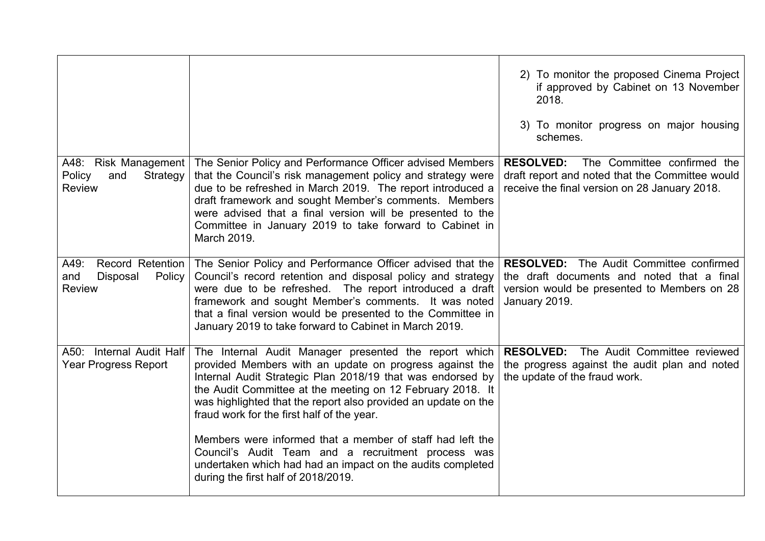|                                                                        |                                                                                                                                                                                                                                                                                                                                                                                                                                                                                 | 2) To monitor the proposed Cinema Project<br>if approved by Cabinet on 13 November<br>2018.<br>3) To monitor progress on major housing<br>schemes.           |
|------------------------------------------------------------------------|---------------------------------------------------------------------------------------------------------------------------------------------------------------------------------------------------------------------------------------------------------------------------------------------------------------------------------------------------------------------------------------------------------------------------------------------------------------------------------|--------------------------------------------------------------------------------------------------------------------------------------------------------------|
| A48: Risk Management<br>Policy<br>Strategy<br>and<br><b>Review</b>     | The Senior Policy and Performance Officer advised Members<br>that the Council's risk management policy and strategy were<br>due to be refreshed in March 2019. The report introduced a<br>draft framework and sought Member's comments. Members<br>were advised that a final version will be presented to the<br>Committee in January 2019 to take forward to Cabinet in<br>March 2019.                                                                                         | The Committee confirmed the<br><b>RESOLVED:</b><br>draft report and noted that the Committee would<br>receive the final version on 28 January 2018.          |
| Record Retention<br>A49:<br>Disposal<br>Policy<br>and<br><b>Review</b> | The Senior Policy and Performance Officer advised that the<br>Council's record retention and disposal policy and strategy<br>were due to be refreshed. The report introduced a draft<br>framework and sought Member's comments. It was noted<br>that a final version would be presented to the Committee in<br>January 2019 to take forward to Cabinet in March 2019.                                                                                                           | <b>RESOLVED:</b> The Audit Committee confirmed<br>the draft documents and noted that a final<br>version would be presented to Members on 28<br>January 2019. |
| A50: Internal Audit Half<br><b>Year Progress Report</b>                | The Internal Audit Manager presented the report which<br>provided Members with an update on progress against the<br>Internal Audit Strategic Plan 2018/19 that was endorsed by<br>the Audit Committee at the meeting on 12 February 2018. It<br>was highlighted that the report also provided an update on the<br>fraud work for the first half of the year.<br>Members were informed that a member of staff had left the<br>Council's Audit Team and a recruitment process was | The Audit Committee reviewed<br><b>RESOLVED:</b><br>the progress against the audit plan and noted<br>the update of the fraud work.                           |
|                                                                        | undertaken which had had an impact on the audits completed<br>during the first half of 2018/2019.                                                                                                                                                                                                                                                                                                                                                                               |                                                                                                                                                              |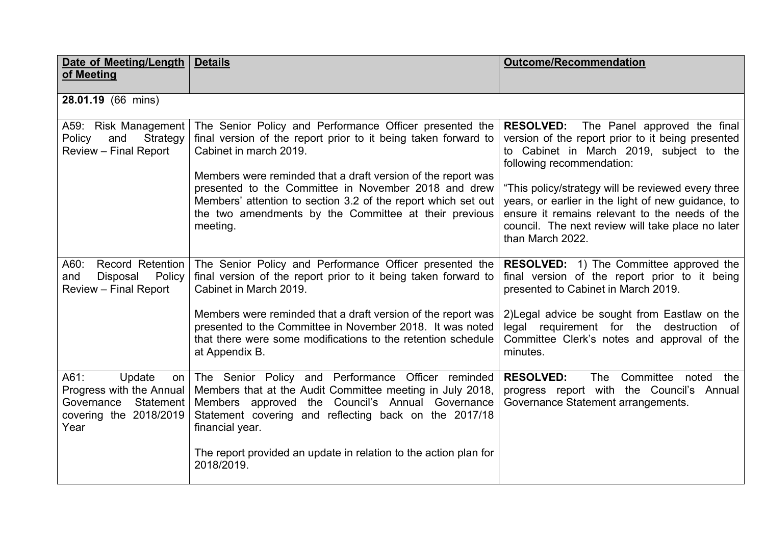| <b>Date of Meeting/Length</b>                                                                              | <b>Details</b>                                                                                                                                                                                                                                                                                                                                                                                                    | <b>Outcome/Recommendation</b>                                                                                                                                                                                                                                                                                                                                                                                      |
|------------------------------------------------------------------------------------------------------------|-------------------------------------------------------------------------------------------------------------------------------------------------------------------------------------------------------------------------------------------------------------------------------------------------------------------------------------------------------------------------------------------------------------------|--------------------------------------------------------------------------------------------------------------------------------------------------------------------------------------------------------------------------------------------------------------------------------------------------------------------------------------------------------------------------------------------------------------------|
| of Meeting                                                                                                 |                                                                                                                                                                                                                                                                                                                                                                                                                   |                                                                                                                                                                                                                                                                                                                                                                                                                    |
| 28.01.19 (66 mins)                                                                                         |                                                                                                                                                                                                                                                                                                                                                                                                                   |                                                                                                                                                                                                                                                                                                                                                                                                                    |
| A59: Risk Management<br>Strategy<br>Policy<br>and<br>Review - Final Report                                 | The Senior Policy and Performance Officer presented the<br>final version of the report prior to it being taken forward to<br>Cabinet in march 2019.<br>Members were reminded that a draft version of the report was<br>presented to the Committee in November 2018 and drew<br>Members' attention to section 3.2 of the report which set out<br>the two amendments by the Committee at their previous<br>meeting. | <b>RESOLVED:</b> The Panel approved the final<br>version of the report prior to it being presented<br>to Cabinet in March 2019, subject to the<br>following recommendation:<br>"This policy/strategy will be reviewed every three<br>years, or earlier in the light of new guidance, to<br>ensure it remains relevant to the needs of the<br>council. The next review will take place no later<br>than March 2022. |
| <b>Record Retention</b><br>A60:<br>Policy<br>and<br>Disposal<br><b>Review - Final Report</b>               | The Senior Policy and Performance Officer presented the<br>final version of the report prior to it being taken forward to<br>Cabinet in March 2019.<br>Members were reminded that a draft version of the report was<br>presented to the Committee in November 2018. It was noted<br>that there were some modifications to the retention schedule<br>at Appendix B.                                                | <b>RESOLVED:</b> 1) The Committee approved the<br>final version of the report prior to it being<br>presented to Cabinet in March 2019.<br>2) Legal advice be sought from Eastlaw on the<br>legal requirement for the destruction of<br>Committee Clerk's notes and approval of the<br>minutes.                                                                                                                     |
| A61:<br>Update<br>on<br>Progress with the Annual<br>Governance Statement<br>covering the 2018/2019<br>Year | The Senior Policy and Performance Officer reminded<br>Members that at the Audit Committee meeting in July 2018,<br>Members approved the Council's Annual Governance<br>Statement covering and reflecting back on the 2017/18<br>financial year.<br>The report provided an update in relation to the action plan for<br>2018/2019.                                                                                 | <b>RESOLVED:</b><br>Committee<br><b>The</b><br>noted<br>the<br>progress report with the Council's Annual<br>Governance Statement arrangements.                                                                                                                                                                                                                                                                     |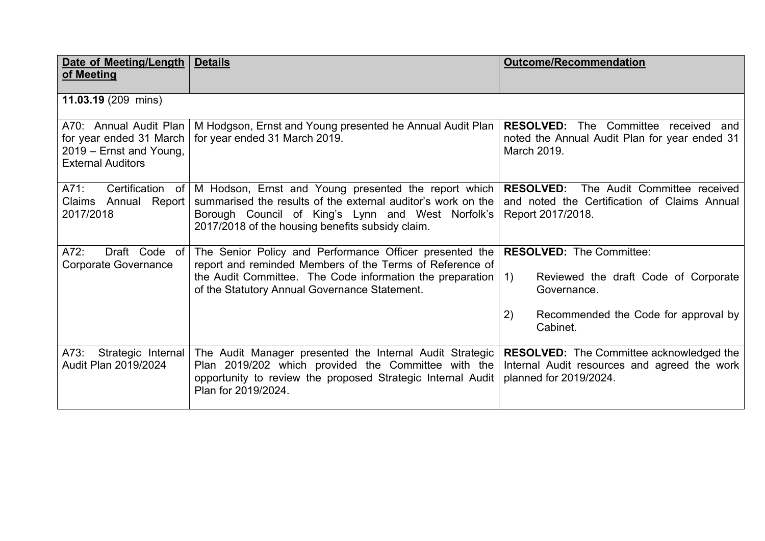| Date of Meeting/Length<br>of Meeting                                                                     | <b>Details</b>                                                                                                                                                                                                                    | <b>Outcome/Recommendation</b>                                                                                                                          |
|----------------------------------------------------------------------------------------------------------|-----------------------------------------------------------------------------------------------------------------------------------------------------------------------------------------------------------------------------------|--------------------------------------------------------------------------------------------------------------------------------------------------------|
| 11.03.19 (209 mins)                                                                                      |                                                                                                                                                                                                                                   |                                                                                                                                                        |
| A70: Annual Audit Plan<br>for year ended 31 March<br>2019 – Ernst and Young,<br><b>External Auditors</b> | M Hodgson, Ernst and Young presented he Annual Audit Plan<br>for year ended 31 March 2019.                                                                                                                                        | <b>RESOLVED:</b> The Committee received and<br>noted the Annual Audit Plan for year ended 31<br>March 2019.                                            |
| Certification of<br>A71.<br>Claims Annual Report<br>2017/2018                                            | M Hodson, Ernst and Young presented the report which<br>summarised the results of the external auditor's work on the<br>Borough Council of King's Lynn and West Norfolk's<br>2017/2018 of the housing benefits subsidy claim.     | The Audit Committee received<br><b>RESOLVED:</b><br>and noted the Certification of Claims Annual<br>Report 2017/2018.                                  |
| Draft Code of<br>A72:<br><b>Corporate Governance</b>                                                     | The Senior Policy and Performance Officer presented the<br>report and reminded Members of the Terms of Reference of<br>the Audit Committee. The Code information the preparation<br>of the Statutory Annual Governance Statement. | <b>RESOLVED: The Committee:</b><br>Reviewed the draft Code of Corporate<br>1)<br>Governance.<br>Recommended the Code for approval by<br>2)<br>Cabinet. |
| $A73$ :<br>Strategic Internal<br>Audit Plan 2019/2024                                                    | The Audit Manager presented the Internal Audit Strategic<br>Plan 2019/202 which provided the Committee with the<br>opportunity to review the proposed Strategic Internal Audit<br>Plan for 2019/2024.                             | <b>RESOLVED:</b> The Committee acknowledged the<br>Internal Audit resources and agreed the work<br>planned for 2019/2024.                              |